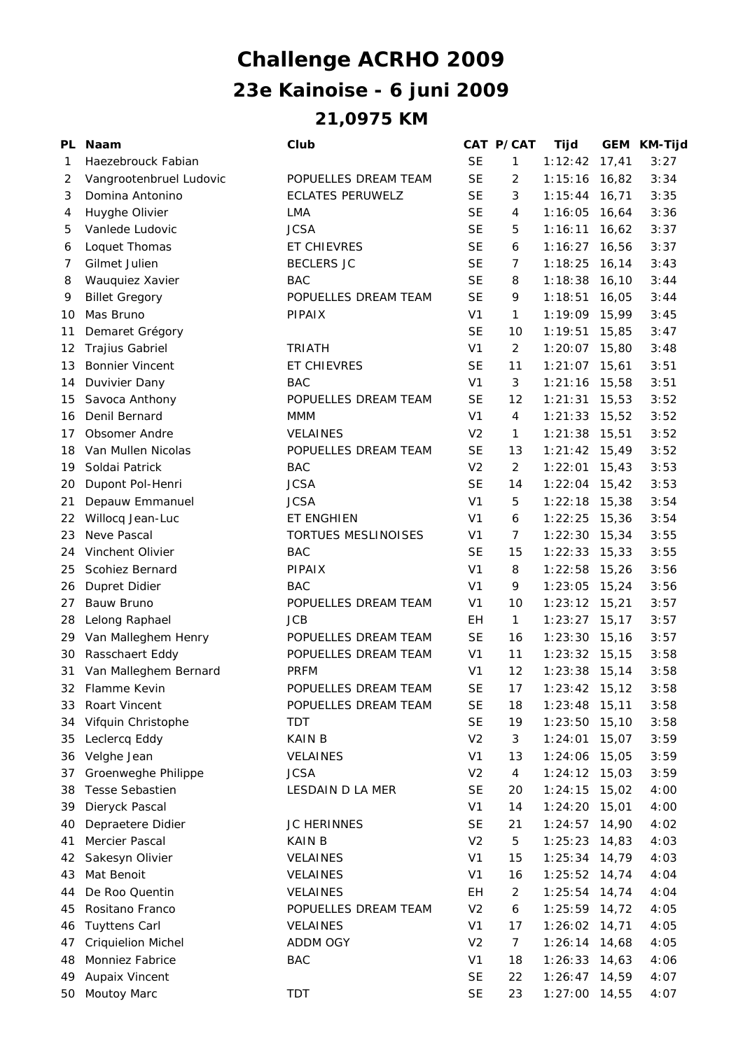## **21,0975 KM 23e Kainoise - 6 juni 2009 Challenge ACRHO 2009**

| PL | <b>Naam</b>               | Club                    |                | CAT P/CAT      | Tijd            |        | GEM KM-Tijd |
|----|---------------------------|-------------------------|----------------|----------------|-----------------|--------|-------------|
| 1  | Haezebrouck Fabian        |                         | <b>SE</b>      | $\mathbf{1}$   | 1:12:42         | 17,41  | 3:27        |
| 2  | Vangrootenbruel Ludovic   | POPUELLES DREAM TEAM    | <b>SE</b>      | 2              | 1:15:16         | 16,82  | 3:34        |
| 3  | Domina Antonino           | <b>ECLATES PERUWELZ</b> | <b>SE</b>      | 3              | $1:15:44$ 16,71 |        | 3:35        |
| 4  | Huyghe Olivier            | LMA                     | <b>SE</b>      | 4              | 1:16:05         | 16,64  | 3:36        |
| 5  | Vanlede Ludovic           | <b>JCSA</b>             | <b>SE</b>      | 5              | 1:16:11         | 16,62  | 3:37        |
| 6  | Loquet Thomas             | ET CHIEVRES             | <b>SE</b>      | 6              | 1:16:27         | 16,56  | 3:37        |
| 7  | Gilmet Julien             | <b>BECLERS JC</b>       | <b>SE</b>      | 7              | 1:18:25         | 16,14  | 3:43        |
| 8  | Wauquiez Xavier           | <b>BAC</b>              | <b>SE</b>      | 8              | 1:18:38         | 16,10  | 3:44        |
| 9  | <b>Billet Gregory</b>     | POPUELLES DREAM TEAM    | <b>SE</b>      | 9              | 1:18:51         | 16,05  | 3:44        |
| 10 | Mas Bruno                 | <b>PIPAIX</b>           | V <sub>1</sub> | $\mathbf{1}$   | 1:19:09 15,99   |        | 3:45        |
| 11 | Demaret Grégory           |                         | <b>SE</b>      | 10             | 1:19:51         | 15,85  | 3:47        |
| 12 | Trajius Gabriel           | <b>TRIATH</b>           | V <sub>1</sub> | $\overline{2}$ | 1:20:07         | 15,80  | 3:48        |
| 13 | <b>Bonnier Vincent</b>    | <b>ET CHIEVRES</b>      | <b>SE</b>      | 11             | 1:21:07         | 15,61  | 3:51        |
| 14 | Duvivier Dany             | <b>BAC</b>              | V <sub>1</sub> | 3              | 1:21:16         | 15,58  | 3:51        |
| 15 | Savoca Anthony            | POPUELLES DREAM TEAM    | <b>SE</b>      | 12             | 1:21:31         | 15,53  | 3:52        |
| 16 | Denil Bernard             | MMM                     | V1             | 4              | 1:21:33         | 15,52  | 3:52        |
| 17 | Obsomer Andre             | <b>VELAINES</b>         | V <sub>2</sub> | $\mathbf{1}$   | $1:21:38$ 15,51 |        | 3:52        |
| 18 | Van Mullen Nicolas        | POPUELLES DREAM TEAM    | <b>SE</b>      | 13             | $1:21:42$ 15,49 |        | 3:52        |
| 19 | Soldai Patrick            | <b>BAC</b>              | V <sub>2</sub> | $\overline{2}$ | 1:22:01         | 15,43  | 3:53        |
| 20 | Dupont Pol-Henri          | <b>JCSA</b>             | <b>SE</b>      | 14             | 1:22:04         | 15,42  | 3:53        |
| 21 | Depauw Emmanuel           | <b>JCSA</b>             | V <sub>1</sub> | 5              | 1:22:18         | 15,38  | 3:54        |
| 22 | Willocq Jean-Luc          | ET ENGHIEN              | V <sub>1</sub> | 6              | $1:22:25$ 15,36 |        | 3:54        |
| 23 | Neve Pascal               | TORTUES MESLINOISES     | V <sub>1</sub> | $\overline{7}$ | 1:22:30         | 15,34  | 3:55        |
| 24 | Vinchent Olivier          | <b>BAC</b>              | <b>SE</b>      | 15             | 1:22:33         | 15,33  | 3:55        |
| 25 | Scohiez Bernard           | PIPAIX                  | V <sub>1</sub> | 8              | 1:22:58         | 15,26  | 3:56        |
| 26 | Dupret Didier             | <b>BAC</b>              | V <sub>1</sub> | 9              | 1:23:05         | 15,24  | 3:56        |
| 27 | Bauw Bruno                | POPUELLES DREAM TEAM    | V <sub>1</sub> | 10             | 1:23:12         | 15,21  | 3:57        |
| 28 | Lelong Raphael            | <b>JCB</b>              | EH             | $\mathbf{1}$   | 1:23:27         | 15, 17 | 3:57        |
| 29 | Van Malleghem Henry       | POPUELLES DREAM TEAM    | <b>SE</b>      | 16             | 1:23:30         | 15,16  | 3:57        |
| 30 | Rasschaert Eddy           | POPUELLES DREAM TEAM    | V <sub>1</sub> | 11             | $1:23:32$ 15,15 |        | 3:58        |
| 31 | Van Malleghem Bernard     | <b>PRFM</b>             | V <sub>1</sub> | 12             | 1:23:38         | 15,14  | 3:58        |
| 32 | Flamme Kevin              | POPUELLES DREAM TEAM    | <b>SE</b>      | 17             | $1:23:42$ 15,12 |        | 3:58        |
| 33 | Roart Vincent             | POPUELLES DREAM TEAM    | <b>SE</b>      | 18             | $1:23:48$ 15,11 |        | 3:58        |
| 34 | Vifquin Christophe        | <b>TDT</b>              | <b>SE</b>      | 19             | 1:23:50         | 15,10  | 3:58        |
| 35 | Leclercq Eddy             | KAIN B                  | V <sub>2</sub> | 3              | 1:24:01         | 15,07  | 3:59        |
| 36 | Velghe Jean               | VELAINES                | V <sub>1</sub> | 13             | 1:24:06         | 15,05  | 3:59        |
| 37 | Groenweghe Philippe       | <b>JCSA</b>             | V <sub>2</sub> | $\overline{4}$ | 1:24:12         | 15,03  | 3:59        |
| 38 | <b>Tesse Sebastien</b>    | LESDAIN D LA MER        | <b>SE</b>      | 20             | 1:24:15         | 15,02  | 4:00        |
| 39 | Dieryck Pascal            |                         | V <sub>1</sub> | 14             | 1:24:20         | 15,01  | 4:00        |
| 40 | Depraetere Didier         | <b>JC HERINNES</b>      | <b>SE</b>      | 21             | 1:24:57         | 14,90  | 4:02        |
| 41 | Mercier Pascal            | <b>KAIN B</b>           | V <sub>2</sub> | $\mathbf 5$    | 1:25:23         | 14,83  | 4:03        |
| 42 | Sakesyn Olivier           | VELAINES                | V <sub>1</sub> | 15             | 1:25:34         | 14,79  | 4:03        |
| 43 | Mat Benoit                | VELAINES                | V <sub>1</sub> | 16             | 1:25:52         | 14,74  | 4:04        |
| 44 | De Roo Quentin            | <b>VELAINES</b>         | EH             | $\overline{2}$ | 1:25:54         | 14,74  | 4:04        |
| 45 | Rositano Franco           | POPUELLES DREAM TEAM    | V <sub>2</sub> | 6              | $1:25:59$ 14,72 |        | 4:05        |
| 46 | <b>Tuyttens Carl</b>      | VELAINES                | V <sub>1</sub> | 17             | 1:26:02         | 14,71  | 4:05        |
| 47 | <b>Criquielion Michel</b> | ADDM OGY                | V <sub>2</sub> | 7              | 1:26:14         | 14,68  | 4:05        |
| 48 | Monniez Fabrice           | <b>BAC</b>              | V <sub>1</sub> | 18             | 1:26:33         | 14,63  | 4:06        |
| 49 | Aupaix Vincent            |                         | <b>SE</b>      | 22             | 1:26:47         | 14,59  | 4:07        |
| 50 | Moutoy Marc               | <b>TDT</b>              | <b>SE</b>      | 23             | 1:27:00         | 14,55  | 4:07        |
|    |                           |                         |                |                |                 |        |             |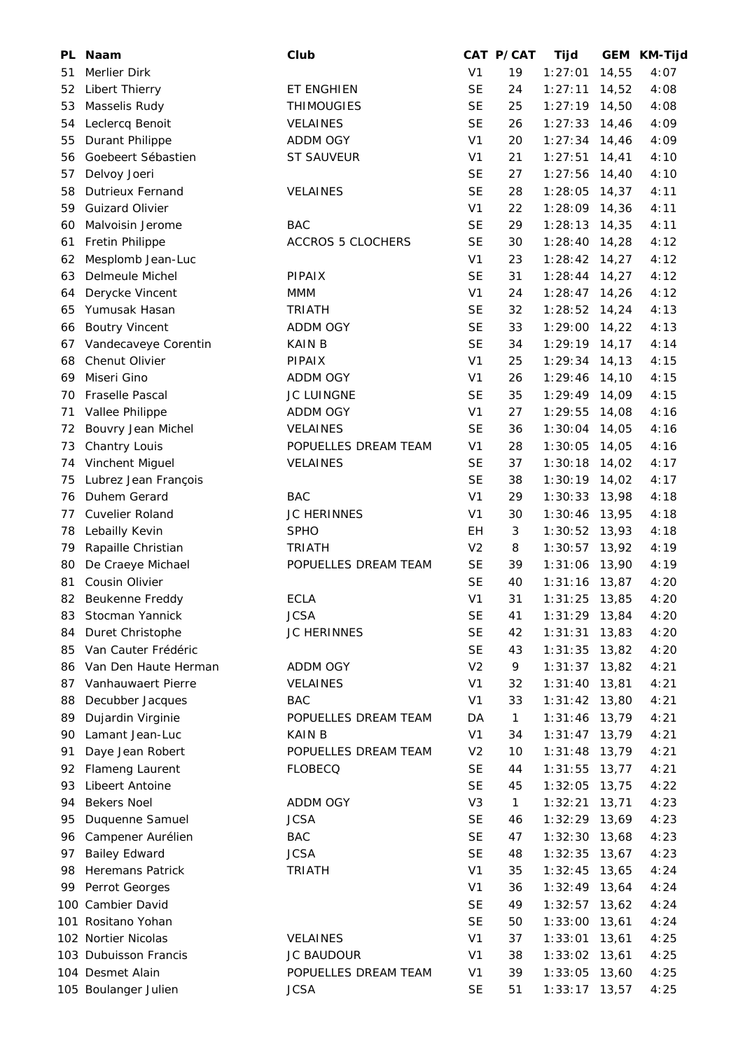| PL. | <b>Naam</b>                        | Club                     |                | CAT P/CAT    | Tijd            |       | GEM KM-Tijd |
|-----|------------------------------------|--------------------------|----------------|--------------|-----------------|-------|-------------|
| 51  | Merlier Dirk                       |                          | V <sub>1</sub> | 19           | 1:27:01         | 14,55 | 4:07        |
| 52  | Libert Thierry                     | ET ENGHIEN               | <b>SE</b>      | 24           | 1:27:11         | 14,52 | 4:08        |
| 53  | Masselis Rudy                      | <b>THIMOUGIES</b>        | <b>SE</b>      | 25           | 1:27:19         | 14,50 | 4:08        |
| 54  | Leclercq Benoit                    | <b>VELAINES</b>          | <b>SE</b>      | 26           | 1:27:33         | 14,46 | 4:09        |
| 55  | Durant Philippe                    | ADDM OGY                 | V <sub>1</sub> | 20           | 1:27:34         | 14,46 | 4:09        |
| 56  | Goebeert Sébastien                 | ST SAUVEUR               | V <sub>1</sub> | 21           | 1:27:51         | 14,41 | 4:10        |
| 57  | Delvoy Joeri                       |                          | <b>SE</b>      | 27           | 1:27:56         | 14,40 | 4:10        |
| 58  | <b>Dutrieux Fernand</b>            | VELAINES                 | <b>SE</b>      | 28           | 1:28:05         | 14,37 | 4:11        |
| 59  | <b>Guizard Olivier</b>             |                          | V <sub>1</sub> | 22           | 1:28:09         | 14,36 | 4:11        |
| 60  | Malvoisin Jerome                   | <b>BAC</b>               | <b>SE</b>      | 29           | 1:28:13         | 14,35 | 4:11        |
| 61  | Fretin Philippe                    | <b>ACCROS 5 CLOCHERS</b> | <b>SE</b>      | 30           | 1:28:40         | 14,28 | 4:12        |
| 62  | Mesplomb Jean-Luc                  |                          | V <sub>1</sub> | 23           | 1:28:42         | 14,27 | 4:12        |
| 63  | Delmeule Michel                    | PIPAIX                   | <b>SE</b>      | 31           | 1:28:44         | 14,27 | 4:12        |
| 64  | Derycke Vincent                    | <b>MMM</b>               | V <sub>1</sub> | 24           | 1:28:47         | 14,26 | 4:12        |
| 65  | Yumusak Hasan                      | <b>TRIATH</b>            | <b>SE</b>      | 32           | 1:28:52         | 14,24 | 4:13        |
| 66  | <b>Boutry Vincent</b>              | <b>ADDM OGY</b>          | <b>SE</b>      | 33           | 1:29:00         | 14,22 | 4:13        |
| 67  | Vandecaveye Corentin               | <b>KAINB</b>             | <b>SE</b>      | 34           | 1:29:19         | 14,17 | 4:14        |
| 68  | Chenut Olivier                     | PIPAIX                   | V <sub>1</sub> | 25           | 1:29:34         | 14,13 | 4:15        |
| 69  | Miseri Gino                        | ADDM OGY                 | V <sub>1</sub> | 26           | 1:29:46         | 14,10 | 4:15        |
| 70  | Fraselle Pascal                    | <b>JC LUINGNE</b>        | <b>SE</b>      | 35           | 1:29:49         | 14,09 | 4:15        |
| 71  | Vallee Philippe                    | ADDM OGY                 | V <sub>1</sub> | 27           | 1:29:55         | 14,08 | 4:16        |
| 72  | Bouvry Jean Michel                 | <b>VELAINES</b>          | <b>SE</b>      | 36           | 1:30:04         | 14,05 | 4:16        |
| 73  | Chantry Louis                      | POPUELLES DREAM TEAM     | V <sub>1</sub> | 28           | 1:30:05         | 14,05 | 4:16        |
| 74  | Vinchent Miguel                    | <b>VELAINES</b>          | <b>SE</b>      | 37           | 1:30:18         | 14,02 | 4:17        |
| 75  | Lubrez Jean François               |                          | <b>SE</b>      | 38           | 1:30:19         | 14,02 | 4:17        |
| 76  | Duhem Gerard                       | <b>BAC</b>               | V <sub>1</sub> | 29           | 1:30:33         | 13,98 | 4:18        |
| 77  | Cuvelier Roland                    | <b>JC HERINNES</b>       | V <sub>1</sub> | 30           | 1:30:46         | 13,95 | 4:18        |
| 78  | Lebailly Kevin                     | <b>SPHO</b>              | EH             | 3            | 1:30:52         | 13,93 | 4:18        |
| 79  | Rapaille Christian                 | <b>TRIATH</b>            | V <sub>2</sub> | 8            | 1:30:57         | 13,92 | 4:19        |
| 80  | De Craeye Michael                  | POPUELLES DREAM TEAM     | <b>SE</b>      | 39           | 1:31:06         | 13,90 | 4:19        |
| 81  | Cousin Olivier                     |                          | <b>SE</b>      | 40           | 1:31:16         | 13,87 | 4:20        |
|     |                                    | <b>ECLA</b>              | V <sub>1</sub> | 31           |                 |       | 4:20        |
| 82  | Beukenne Freddy<br>Stocman Yannick | <b>JCSA</b>              | <b>SE</b>      | 41           | 1:31:25         | 13,85 | 4:20        |
| 83  |                                    |                          | <b>SE</b>      |              | $1:31:29$ 13,84 |       |             |
| 84  | Duret Christophe                   | <b>JC HERINNES</b>       |                | 42           | 1:31:31         | 13,83 | 4:20        |
| 85  | Van Cauter Frédéric                |                          | <b>SE</b>      | 43           | 1:31:35         | 13,82 | 4:20        |
| 86  | Van Den Haute Herman               | ADDM OGY                 | V <sub>2</sub> | 9            | 1:31:37         | 13,82 | 4:21        |
| 87  | Vanhauwaert Pierre                 | VELAINES                 | V <sub>1</sub> | 32           | 1:31:40         | 13,81 | 4:21        |
| 88  | Decubber Jacques                   | <b>BAC</b>               | V <sub>1</sub> | 33           | 1:31:42         | 13,80 | 4:21        |
| 89  | Dujardin Virginie                  | POPUELLES DREAM TEAM     | DA             | 1            | 1:31:46         | 13,79 | 4:21        |
| 90  | Lamant Jean-Luc                    | <b>KAIN B</b>            | V <sub>1</sub> | 34           | 1:31:47         | 13,79 | 4:21        |
| 91  | Daye Jean Robert                   | POPUELLES DREAM TEAM     | V <sub>2</sub> | 10           | 1:31:48         | 13,79 | 4:21        |
| 92  | Flameng Laurent                    | <b>FLOBECQ</b>           | <b>SE</b>      | 44           | 1:31:55         | 13,77 | 4:21        |
| 93  | Libeert Antoine                    |                          | <b>SE</b>      | 45           | 1:32:05         | 13,75 | 4:22        |
| 94  | <b>Bekers Noel</b>                 | ADDM OGY                 | V <sub>3</sub> | $\mathbf{1}$ | 1:32:21         | 13,71 | 4:23        |
| 95  | Duquenne Samuel                    | <b>JCSA</b>              | <b>SE</b>      | 46           | 1:32:29         | 13,69 | 4:23        |
| 96  | Campener Aurélien                  | <b>BAC</b>               | <b>SE</b>      | 47           | 1:32:30         | 13,68 | 4:23        |
| 97  | <b>Bailey Edward</b>               | <b>JCSA</b>              | <b>SE</b>      | 48           | 1:32:35         | 13,67 | 4:23        |
| 98  | <b>Heremans Patrick</b>            | <b>TRIATH</b>            | V <sub>1</sub> | 35           | 1:32:45         | 13,65 | 4:24        |
| 99  | Perrot Georges                     |                          | V <sub>1</sub> | 36           | 1:32:49         | 13,64 | 4:24        |
|     | 100 Cambier David                  |                          | <b>SE</b>      | 49           | 1:32:57         | 13,62 | 4:24        |
| 101 | Rositano Yohan                     |                          | <b>SE</b>      | 50           | 1:33:00         | 13,61 | 4:24        |
|     | 102 Nortier Nicolas                | VELAINES                 | V <sub>1</sub> | 37           | 1:33:01         | 13,61 | 4:25        |
|     | 103 Dubuisson Francis              | <b>JC BAUDOUR</b>        | V <sub>1</sub> | 38           | 1:33:02         | 13,61 | 4:25        |
|     | 104 Desmet Alain                   | POPUELLES DREAM TEAM     | V <sub>1</sub> | 39           | 1:33:05         | 13,60 | 4:25        |
|     | 105 Boulanger Julien               | <b>JCSA</b>              | <b>SE</b>      | 51           | 1:33:17         | 13,57 | 4:25        |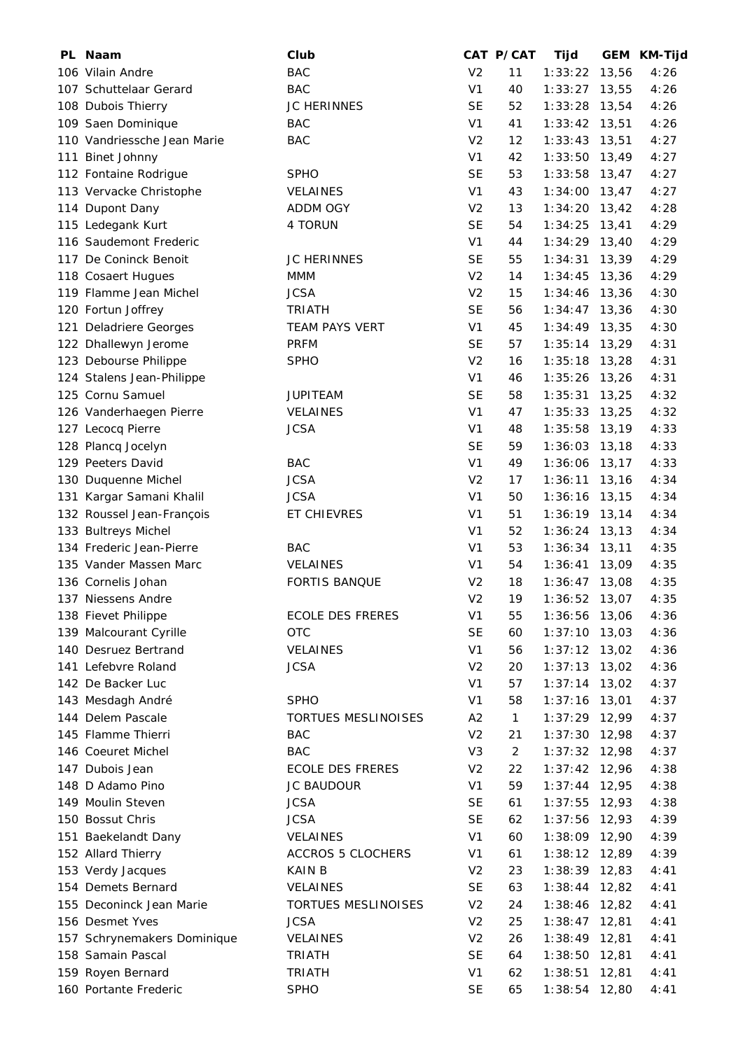| PL Naam                                | Club                     |                | CAT P/CAT      | Tijd            |        | GEM KM-Tijd |
|----------------------------------------|--------------------------|----------------|----------------|-----------------|--------|-------------|
| 106 Vilain Andre                       | <b>BAC</b>               | V <sub>2</sub> | 11             | 1:33:22         | 13,56  | 4:26        |
| 107 Schuttelaar Gerard                 | <b>BAC</b>               | V <sub>1</sub> | 40             | 1:33:27         | 13,55  | 4:26        |
| 108 Dubois Thierry                     | JC HERINNES              | <b>SE</b>      | 52             | 1:33:28         | 13,54  | 4:26        |
| 109 Saen Dominique                     | <b>BAC</b>               | V <sub>1</sub> | 41             | 1:33:42         | 13,51  | 4:26        |
| 110 Vandriessche Jean Marie            | <b>BAC</b>               | V <sub>2</sub> | 12             | 1:33:43         | 13,51  | 4:27        |
| 111 Binet Johnny                       |                          | V <sub>1</sub> | 42             | 1:33:50         | 13,49  | 4:27        |
| 112 Fontaine Rodrigue                  | <b>SPHO</b>              | <b>SE</b>      | 53             | 1:33:58         | 13,47  | 4:27        |
| 113 Vervacke Christophe                | <b>VELAINES</b>          | V <sub>1</sub> | 43             | 1:34:00         | 13,47  | 4:27        |
| 114 Dupont Dany                        | ADDM OGY                 | V <sub>2</sub> | 13             | 1:34:20         | 13,42  | 4:28        |
| 115 Ledegank Kurt                      | 4 TORUN                  | <b>SE</b>      | 54             | 1:34:25         | 13,41  | 4:29        |
| 116 Saudemont Frederic                 |                          | V <sub>1</sub> | 44             | $1:34:29$ 13,40 |        | 4:29        |
| 117 De Coninck Benoit                  | <b>JC HERINNES</b>       | <b>SE</b>      | 55             | 1:34:31         | 13,39  | 4:29        |
| 118 Cosaert Hugues                     | MMM                      | V <sub>2</sub> | 14             | 1:34:45         | 13,36  | 4:29        |
| 119 Flamme Jean Michel                 | <b>JCSA</b>              | V <sub>2</sub> | 15             | 1:34:46         | 13,36  | 4:30        |
| 120 Fortun Joffrey                     | <b>TRIATH</b>            | <b>SE</b>      | 56             | 1:34:47         | 13,36  | 4:30        |
| 121 Deladriere Georges                 | TEAM PAYS VERT           | V <sub>1</sub> | 45             | $1:34:49$ 13,35 |        | 4:30        |
| 122 Dhallewyn Jerome                   | <b>PRFM</b>              | <b>SE</b>      | 57             | 1:35:14         | 13,29  | 4:31        |
| 123 Debourse Philippe                  | <b>SPHO</b>              | V <sub>2</sub> | 16             | 1:35:18         | 13,28  | 4:31        |
| 124 Stalens Jean-Philippe              |                          | V <sub>1</sub> | 46             | 1:35:26         | 13,26  | 4:31        |
| 125 Cornu Samuel                       | <b>JUPITEAM</b>          | <b>SE</b>      | 58             | 1:35:31         | 13,25  | 4:32        |
| 126 Vanderhaegen Pierre                | <b>VELAINES</b>          | V <sub>1</sub> | 47             | 1:35:33         | 13,25  | 4:32        |
| 127 Lecocq Pierre                      | <b>JCSA</b>              | V <sub>1</sub> | 48             | 1:35:58         | 13,19  | 4:33        |
| 128 Plancq Jocelyn                     |                          | <b>SE</b>      | 59             | 1:36:03         | 13,18  | 4:33        |
| 129 Peeters David                      | <b>BAC</b>               | V <sub>1</sub> | 49             | 1:36:06         | 13,17  | 4:33        |
| 130 Duquenne Michel                    | <b>JCSA</b>              | V <sub>2</sub> | 17             | 1:36:11         | 13,16  | 4:34        |
| 131 Kargar Samani Khalil               | <b>JCSA</b>              | V <sub>1</sub> | 50             | 1:36:16         | 13,15  | 4:34        |
| 132 Roussel Jean-François              | ET CHIEVRES              | V <sub>1</sub> | 51             | 1:36:19         | 13,14  | 4:34        |
| 133 Bultreys Michel                    |                          | V <sub>1</sub> | 52             | 1:36:24         | 13, 13 | 4:34        |
| 134 Frederic Jean-Pierre               | <b>BAC</b>               | V <sub>1</sub> | 53             | 1:36:34         | 13,11  | 4:35        |
| 135 Vander Massen Marc                 | <b>VELAINES</b>          | V <sub>1</sub> | 54             | 1:36:41         | 13,09  | 4:35        |
| 136 Cornelis Johan                     | <b>FORTIS BANQUE</b>     | V <sub>2</sub> | 18             | 1:36:47         | 13,08  | 4:35        |
| 137 Niessens Andre                     |                          | V <sub>2</sub> | 19             | $1:36:52$ 13,07 |        | 4:35        |
| 138 Fievet Philippe                    | <b>ECOLE DES FRERES</b>  | V <sub>1</sub> | 55             | 1:36:56 13,06   |        | 4:36        |
| 139 Malcourant Cyrille                 | <b>OTC</b>               | <b>SE</b>      | 60             | $1:37:10$ 13,03 |        | 4:36        |
| 140 Desruez Bertrand                   | <b>VELAINES</b>          | V <sub>1</sub> | 56             | $1:37:12$ 13,02 |        | 4:36        |
| 141 Lefebvre Roland                    | <b>JCSA</b>              | V <sub>2</sub> | 20             | $1:37:13$ 13,02 |        | 4:36        |
| 142 De Backer Luc                      |                          | V <sub>1</sub> | 57             | $1:37:14$ 13,02 |        | 4:37        |
|                                        | <b>SPHO</b>              | V <sub>1</sub> | 58             | 1:37:16         | 13,01  |             |
| 143 Mesdagh André<br>144 Delem Pascale |                          |                |                |                 |        | 4:37        |
|                                        | TORTUES MESLINOISES      | A <sub>2</sub> | 1              | 1:37:29         | 12,99  | 4:37        |
| 145 Flamme Thierri                     | <b>BAC</b>               | V <sub>2</sub> | 21             | 1:37:30         | 12,98  | 4:37        |
| 146 Coeuret Michel                     | <b>BAC</b>               | V <sub>3</sub> | $\overline{c}$ | $1:37:32$ 12,98 |        | 4:37        |
| 147 Dubois Jean                        | <b>ECOLE DES FRERES</b>  | V <sub>2</sub> | 22             | $1:37:42$ 12,96 |        | 4:38        |
| 148 D Adamo Pino                       | JC BAUDOUR               | V <sub>1</sub> | 59             | $1:37:44$ 12,95 |        | 4:38        |
| 149 Moulin Steven                      | <b>JCSA</b>              | <b>SE</b>      | 61             | $1:37:55$ 12,93 |        | 4:38        |
| 150 Bossut Chris                       | <b>JCSA</b>              | <b>SE</b>      | 62             | 1:37:56         | 12,93  | 4:39        |
| 151 Baekelandt Dany                    | <b>VELAINES</b>          | V <sub>1</sub> | 60             | 1:38:09         | 12,90  | 4:39        |
| 152 Allard Thierry                     | <b>ACCROS 5 CLOCHERS</b> | V <sub>1</sub> | 61             | 1:38:12         | 12,89  | 4:39        |
| 153 Verdy Jacques                      | <b>KAIN B</b>            | V <sub>2</sub> | 23             | $1:38:39$ 12,83 |        | 4:41        |
| 154 Demets Bernard                     | <b>VELAINES</b>          | <b>SE</b>      | 63             | $1:38:44$ 12,82 |        | 4:41        |
| 155 Deconinck Jean Marie               | TORTUES MESLINOISES      | V <sub>2</sub> | 24             | 1:38:46         | 12,82  | 4:41        |
| 156 Desmet Yves                        | <b>JCSA</b>              | V <sub>2</sub> | 25             | 1:38:47         | 12,81  | 4:41        |
| 157 Schrynemakers Dominique            | VELAINES                 | V <sub>2</sub> | 26             | $1:38:49$ 12,81 |        | 4:41        |
| 158 Samain Pascal                      | <b>TRIATH</b>            | <b>SE</b>      | 64             | 1:38:50         | 12,81  | 4:41        |
| 159 Royen Bernard                      | <b>TRIATH</b>            | V <sub>1</sub> | 62             | 1:38:51         | 12,81  | 4:41        |
| 160 Portante Frederic                  | <b>SPHO</b>              | <b>SE</b>      | 65             | 1:38:54 12,80   |        | 4:41        |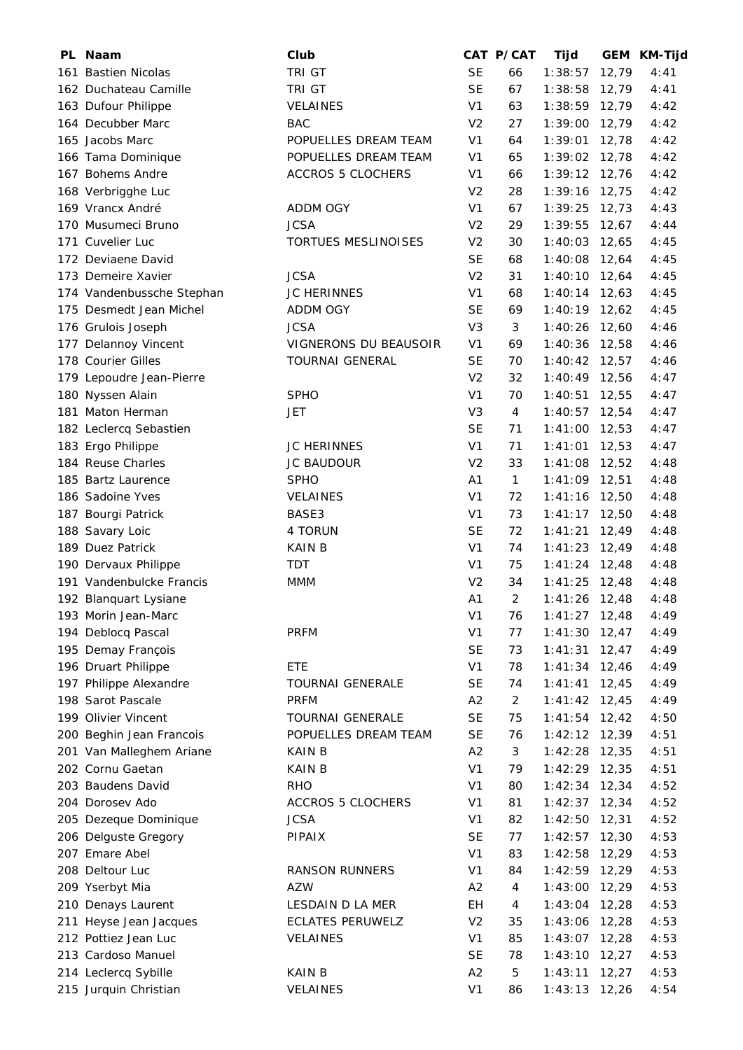| PL Naam                   | Club                     |                | CAT P/CAT      | Tijd                     |       | GEM KM-Tijd |
|---------------------------|--------------------------|----------------|----------------|--------------------------|-------|-------------|
| 161 Bastien Nicolas       | TRI GT                   | <b>SE</b>      | 66             | 1:38:57                  | 12,79 | 4:41        |
| 162 Duchateau Camille     | TRI GT                   | <b>SE</b>      | 67             | 1:38:58                  | 12,79 | 4:41        |
| 163 Dufour Philippe       | <b>VELAINES</b>          | V <sub>1</sub> | 63             | $1:38:59$ 12,79          |       | 4:42        |
| 164 Decubber Marc         | <b>BAC</b>               | V <sub>2</sub> | 27             | 1:39:00                  | 12,79 | 4:42        |
| 165 Jacobs Marc           | POPUELLES DREAM TEAM     | V <sub>1</sub> | 64             | 1:39:01                  | 12,78 | 4:42        |
| 166 Tama Dominique        | POPUELLES DREAM TEAM     | V <sub>1</sub> | 65             | 1:39:02                  | 12,78 | 4:42        |
| 167 Bohems Andre          | <b>ACCROS 5 CLOCHERS</b> | V <sub>1</sub> | 66             | $1:39:12$ 12,76          |       | 4:42        |
| 168 Verbrigghe Luc        |                          | V <sub>2</sub> | 28             | 1:39:16                  | 12,75 | 4:42        |
| 169 Vrancx André          | ADDM OGY                 | V <sub>1</sub> | 67             | 1:39:25                  | 12,73 | 4:43        |
| 170 Musumeci Bruno        | <b>JCSA</b>              | V <sub>2</sub> | 29             | 1:39:55                  | 12,67 | 4:44        |
| 171 Cuvelier Luc          | TORTUES MESLINOISES      | V <sub>2</sub> | 30             | 1:40:03                  | 12,65 | 4:45        |
| 172 Deviaene David        |                          | <b>SE</b>      | 68             | 1:40:08                  | 12,64 | 4:45        |
| 173 Demeire Xavier        | <b>JCSA</b>              | V <sub>2</sub> | 31             | 1:40:10                  | 12,64 | 4:45        |
| 174 Vandenbussche Stephan | <b>JC HERINNES</b>       | V <sub>1</sub> | 68             | 1:40:14                  | 12,63 | 4:45        |
| 175 Desmedt Jean Michel   | ADDM OGY                 | <b>SE</b>      | 69             | $1:40:19$ 12,62          |       | 4:45        |
| 176 Grulois Joseph        | <b>JCSA</b>              | V <sub>3</sub> | 3              | 1:40:26                  | 12,60 | 4:46        |
| 177 Delannoy Vincent      | VIGNERONS DU BEAUSOIR    | V <sub>1</sub> | 69             | 1:40:36 12,58            |       | 4:46        |
| 178 Courier Gilles        | <b>TOURNAI GENERAL</b>   | <b>SE</b>      | 70             | 1:40:42                  | 12,57 | 4:46        |
| 179 Lepoudre Jean-Pierre  |                          | V <sub>2</sub> | 32             | 1:40:49 12,56            |       | 4:47        |
| 180 Nyssen Alain          | <b>SPHO</b>              | V <sub>1</sub> | 70             | 1:40:51                  | 12,55 | 4:47        |
| 181 Maton Herman          | <b>JET</b>               | V <sub>3</sub> | 4              | 1:40:57                  | 12,54 | 4:47        |
| 182 Leclercq Sebastien    |                          | <b>SE</b>      | 71             | $1:41:00$ 12,53          |       | 4:47        |
| 183 Ergo Philippe         | <b>JC HERINNES</b>       | V <sub>1</sub> | 71             | 1:41:01                  | 12,53 | 4:47        |
| 184 Reuse Charles         | JC BAUDOUR               | V <sub>2</sub> | 33             | 1:41:08                  | 12,52 | 4:48        |
| 185 Bartz Laurence        | <b>SPHO</b>              | A <sub>1</sub> | $\mathbf{1}$   | $1:41:09$ 12,51          |       | 4:48        |
| 186 Sadoine Yves          | <b>VELAINES</b>          | V <sub>1</sub> | 72             | 1:41:16                  | 12,50 | 4:48        |
| 187 Bourgi Patrick        | BASE3                    | V <sub>1</sub> | 73             | 1:41:17                  | 12,50 | 4:48        |
| 188 Savary Loic           | 4 TORUN                  | <b>SE</b>      | 72             | 1:41:21                  | 12,49 | 4:48        |
| 189 Duez Patrick          | <b>KAIN B</b>            | V <sub>1</sub> | 74             | 1:41:23                  | 12,49 | 4:48        |
| 190 Dervaux Philippe      | <b>TDT</b>               | V <sub>1</sub> | 75             | 1:41:24                  | 12,48 | 4:48        |
| 191 Vandenbulcke Francis  | <b>MMM</b>               | V <sub>2</sub> | 34             | 1:41:25                  | 12,48 | 4:48        |
| 192 Blanquart Lysiane     |                          | A1             | 2              | $1:41:26$ 12,48          |       | 4:48        |
| 193 Morin Jean-Marc       |                          | V <sub>1</sub> | 76             | $1:41:27$ 12,48          |       | 4:49        |
| 194 Deblocq Pascal        | <b>PRFM</b>              | V <sub>1</sub> | 77             | $1:41:30$ 12,47          |       | 4:49        |
| 195 Demay François        |                          | <b>SE</b>      | 73             | 1:41:31                  | 12,47 | 4:49        |
| 196 Druart Philippe       | ETE                      | V <sub>1</sub> | 78             | $1:41:34$ 12,46          |       | 4:49        |
| 197 Philippe Alexandre    | <b>TOURNAI GENERALE</b>  | <b>SE</b>      | 74             | 1:41:41                  | 12,45 | 4:49        |
| 198 Sarot Pascale         | <b>PRFM</b>              | A2             | $\overline{c}$ | 1:41:42                  | 12,45 | 4:49        |
| 199 Olivier Vincent       | <b>TOURNAI GENERALE</b>  | <b>SE</b>      | 75             | 1:41:54                  | 12,42 | 4:50        |
| 200 Beghin Jean Francois  | POPUELLES DREAM TEAM     | <b>SE</b>      | 76             | 1:42:12 12,39            |       | 4:51        |
| 201 Van Malleghem Ariane  | <b>KAIN B</b>            | A2             | 3              | 1:42:28                  | 12,35 | 4:51        |
| 202 Cornu Gaetan          | <b>KAIN B</b>            | V <sub>1</sub> | 79             | 1:42:29                  | 12,35 | 4:51        |
| 203 Baudens David         | <b>RHO</b>               | V <sub>1</sub> | 80             | 1:42:34                  | 12,34 | 4:52        |
| 204 Dorosev Ado           | <b>ACCROS 5 CLOCHERS</b> | V <sub>1</sub> | 81             | 1:42:37                  | 12,34 | 4:52        |
| 205 Dezeque Dominique     | <b>JCSA</b>              | V <sub>1</sub> | 82             | 1:42:50                  | 12,31 | 4:52        |
| 206 Delguste Gregory      | PIPAIX                   | <b>SE</b>      | 77             | 1:42:57                  | 12,30 | 4:53        |
| 207 Emare Abel            |                          | V <sub>1</sub> | 83             |                          | 12,29 | 4:53        |
| 208 Deltour Luc           |                          | V <sub>1</sub> |                | 1:42:58<br>1:42:59 12,29 |       | 4:53        |
|                           | <b>RANSON RUNNERS</b>    |                | 84             |                          |       |             |
| 209 Yserbyt Mia           | <b>AZW</b>               | A2             | 4              | 1:43:00                  | 12,29 | 4:53        |
| 210 Denays Laurent        | LESDAIN D LA MER         | EH             | 4              | 1:43:04                  | 12,28 | 4:53        |
| 211 Heyse Jean Jacques    | <b>ECLATES PERUWELZ</b>  | V <sub>2</sub> | 35             | 1:43:06                  | 12,28 | 4:53        |
| 212 Pottiez Jean Luc      | VELAINES                 | V <sub>1</sub> | 85             | 1:43:07                  | 12,28 | 4:53        |
| 213 Cardoso Manuel        |                          | <b>SE</b>      | 78             | 1:43:10                  | 12,27 | 4:53        |
| 214 Leclercq Sybille      | <b>KAIN B</b>            | A2             | 5              | 1:43:11                  | 12,27 | 4:53        |
| 215 Jurquin Christian     | VELAINES                 | V <sub>1</sub> | 86             | $1:43:13$ 12,26          |       | 4:54        |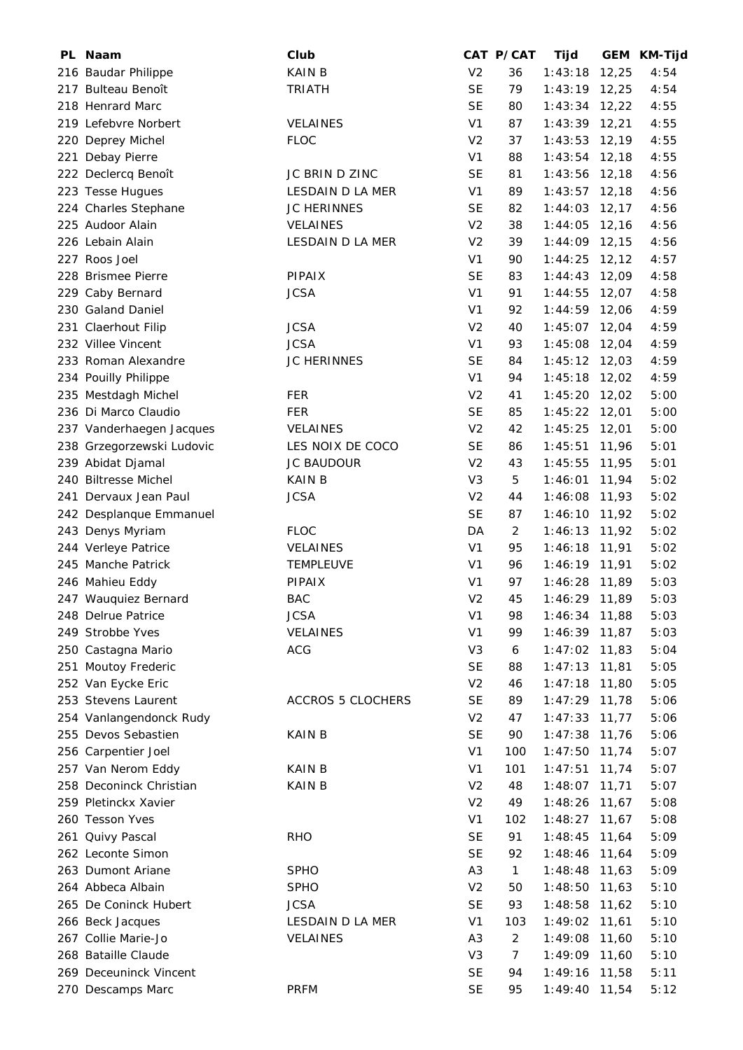| PL Naam                   | Club                     |                | CAT P/CAT      | Tijd          | GEM    | KM-Tijd |
|---------------------------|--------------------------|----------------|----------------|---------------|--------|---------|
| 216 Baudar Philippe       | <b>KAIN B</b>            | V <sub>2</sub> | 36             | 1:43:18       | 12,25  | 4:54    |
| 217 Bulteau Benoît        | <b>TRIATH</b>            | <b>SE</b>      | 79             | 1:43:19       | 12,25  | 4:54    |
| 218 Henrard Marc          |                          | <b>SE</b>      | 80             | 1:43:34       | 12,22  | 4:55    |
| 219 Lefebvre Norbert      | VELAINES                 | V <sub>1</sub> | 87             | 1:43:39       | 12,21  | 4:55    |
| 220 Deprey Michel         | <b>FLOC</b>              | V <sub>2</sub> | 37             | 1:43:53       | 12,19  | 4:55    |
| 221 Debay Pierre          |                          | V <sub>1</sub> | 88             | 1:43:54       | 12,18  | 4:55    |
| 222 Declercq Benoît       | JC BRIN D ZINC           | <b>SE</b>      | 81             | 1:43:56       | 12,18  | 4:56    |
| 223 Tesse Hugues          | <b>LESDAIN D LA MER</b>  | V <sub>1</sub> | 89             | 1:43:57       | 12,18  | 4:56    |
| 224 Charles Stephane      | <b>JC HERINNES</b>       | <b>SE</b>      | 82             | 1:44:03       | 12,17  | 4:56    |
| 225 Audoor Alain          | VELAINES                 | V <sub>2</sub> | 38             | 1:44:05       | 12,16  | 4:56    |
| 226 Lebain Alain          | LESDAIN D LA MER         | V <sub>2</sub> | 39             | 1:44:09       | 12,15  | 4:56    |
| 227 Roos Joel             |                          | V <sub>1</sub> | 90             | 1:44:25       | 12, 12 | 4:57    |
| 228 Brismee Pierre        | PIPAIX                   | <b>SE</b>      | 83             | 1:44:43       | 12,09  | 4:58    |
| 229 Caby Bernard          | <b>JCSA</b>              | V <sub>1</sub> | 91             | 1:44:55       | 12,07  | 4:58    |
| 230 Galand Daniel         |                          | V <sub>1</sub> | 92             | 1:44:59       | 12,06  | 4:59    |
| 231 Claerhout Filip       | <b>JCSA</b>              | V <sub>2</sub> | 40             | 1:45:07       | 12,04  | 4:59    |
| 232 Villee Vincent        | <b>JCSA</b>              | V <sub>1</sub> | 93             | 1:45:08       | 12,04  | 4:59    |
| 233 Roman Alexandre       | <b>JC HERINNES</b>       | <b>SE</b>      | 84             | 1:45:12       | 12,03  | 4:59    |
|                           |                          |                |                |               |        |         |
| 234 Pouilly Philippe      |                          | V <sub>1</sub> | 94             | 1:45:18       | 12,02  | 4:59    |
| 235 Mestdagh Michel       | <b>FER</b>               | V <sub>2</sub> | 41             | 1:45:20       | 12,02  | 5:00    |
| 236 Di Marco Claudio      | <b>FER</b>               | <b>SE</b>      | 85             | 1:45:22       | 12,01  | 5:00    |
| 237 Vanderhaegen Jacques  | <b>VELAINES</b>          | V <sub>2</sub> | 42             | 1:45:25       | 12,01  | 5:00    |
| 238 Grzegorzewski Ludovic | LES NOIX DE COCO         | <b>SE</b>      | 86             | 1:45:51       | 11,96  | 5:01    |
| 239 Abidat Djamal         | <b>JC BAUDOUR</b>        | V <sub>2</sub> | 43             | 1:45:55       | 11,95  | 5:01    |
| 240 Biltresse Michel      | KAIN B                   | V <sub>3</sub> | 5              | 1:46:01       | 11,94  | 5:02    |
| 241 Dervaux Jean Paul     | <b>JCSA</b>              | V <sub>2</sub> | 44             | 1:46:08       | 11,93  | 5:02    |
| 242 Desplanque Emmanuel   |                          | <b>SE</b>      | 87             | 1:46:10       | 11,92  | 5:02    |
| 243 Denys Myriam          | <b>FLOC</b>              | DA             | $\overline{2}$ | 1:46:13       | 11,92  | 5:02    |
| 244 Verleye Patrice       | <b>VELAINES</b>          | V <sub>1</sub> | 95             | 1:46:18       | 11,91  | 5:02    |
| 245 Manche Patrick        | <b>TEMPLEUVE</b>         | V <sub>1</sub> | 96             | 1:46:19       | 11,91  | 5:02    |
| 246 Mahieu Eddy           | PIPAIX                   | V <sub>1</sub> | 97             | 1:46:28       | 11,89  | 5:03    |
| 247 Wauquiez Bernard      | <b>BAC</b>               | V <sub>2</sub> | 45             | 1:46:29 11,89 |        | 5:03    |
| 248 Delrue Patrice        | <b>JCSA</b>              | V <sub>1</sub> | 98             | 1:46:34       | 11,88  | 5:03    |
| 249 Strobbe Yves          | VELAINES                 | V <sub>1</sub> | 99             | 1:46:39       | 11,87  | 5:03    |
| 250 Castagna Mario        | ACG                      | V <sub>3</sub> | 6              | 1:47:02       | 11,83  | 5:04    |
| 251 Moutoy Frederic       |                          | <b>SE</b>      | 88             | 1:47:13       | 11,81  | 5:05    |
| 252 Van Eycke Eric        |                          | V <sub>2</sub> | 46             | 1:47:18       | 11,80  | 5:05    |
| 253 Stevens Laurent       | <b>ACCROS 5 CLOCHERS</b> | <b>SE</b>      | 89             | 1:47:29       | 11,78  | 5:06    |
| 254 Vanlangendonck Rudy   |                          | V <sub>2</sub> | 47             | 1:47:33       | 11,77  | 5:06    |
| 255 Devos Sebastien       | <b>KAIN B</b>            | <b>SE</b>      | 90             | 1:47:38       | 11,76  | 5:06    |
| 256 Carpentier Joel       |                          | V <sub>1</sub> | 100            | 1:47:50       | 11,74  | 5:07    |
| 257 Van Nerom Eddy        | KAIN B                   | V <sub>1</sub> | 101            | 1:47:51       | 11,74  | 5:07    |
| 258 Deconinck Christian   | <b>KAIN B</b>            | V <sub>2</sub> | 48             | 1:48:07       | 11,71  | 5:07    |
| 259 Pletinckx Xavier      |                          | V <sub>2</sub> | 49             | 1:48:26       | 11,67  | 5:08    |
| 260 Tesson Yves           |                          | V <sub>1</sub> | 102            | 1:48:27       | 11,67  | 5:08    |
| 261 Quivy Pascal          | <b>RHO</b>               | <b>SE</b>      | 91             | 1:48:45       | 11,64  | 5:09    |
| 262 Leconte Simon         |                          | <b>SE</b>      | 92             | 1:48:46       | 11,64  | 5:09    |
| 263 Dumont Ariane         | SPHO                     | A <sub>3</sub> | $\mathbf{1}$   | 1:48:48       | 11,63  | 5:09    |
| 264 Abbeca Albain         | <b>SPHO</b>              | V <sub>2</sub> | 50             | 1:48:50       | 11,63  | 5:10    |
| 265 De Coninck Hubert     | <b>JCSA</b>              | <b>SE</b>      | 93             | 1:48:58       | 11,62  | 5:10    |
| 266 Beck Jacques          | LESDAIN D LA MER         | V <sub>1</sub> | 103            | 1:49:02       | 11,61  | 5:10    |
| 267 Collie Marie-Jo       | <b>VELAINES</b>          | A3             | $\overline{a}$ | 1:49:08       | 11,60  | 5:10    |
| 268 Bataille Claude       |                          | V <sub>3</sub> | 7              | 1:49:09       | 11,60  | 5:10    |
| 269 Deceuninck Vincent    |                          | <b>SE</b>      | 94             | 1:49:16       | 11,58  | 5:11    |
| 270 Descamps Marc         | <b>PRFM</b>              | <b>SE</b>      | 95             | 1:49:40       | 11,54  | 5:12    |
|                           |                          |                |                |               |        |         |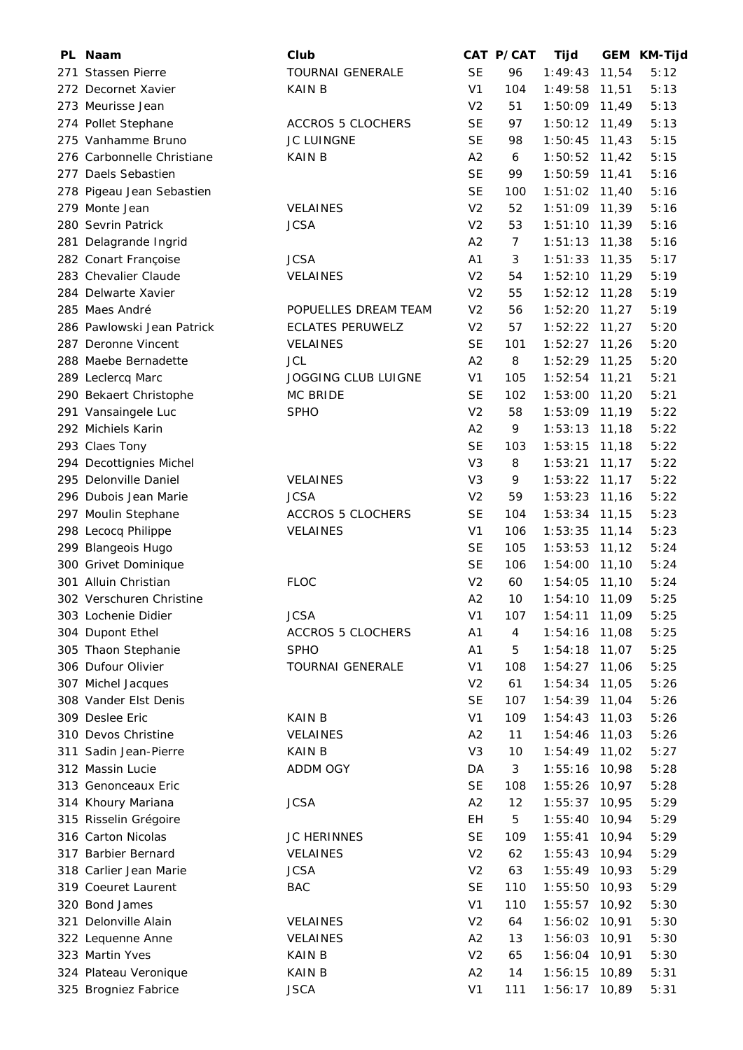| PL. | Naam                       | Club                       |                | CAT P/CAT      | Tijd            | <b>GEM</b> | <b>KM-Tijd</b> |
|-----|----------------------------|----------------------------|----------------|----------------|-----------------|------------|----------------|
|     | 271 Stassen Pierre         | <b>TOURNAI GENERALE</b>    | <b>SE</b>      | 96             | 1:49:43         | 11,54      | 5:12           |
|     | 272 Decornet Xavier        | <b>KAIN B</b>              | V <sub>1</sub> | 104            | 1:49:58         | 11,51      | 5:13           |
|     | 273 Meurisse Jean          |                            | V <sub>2</sub> | 51             | 1:50:09         | 11,49      | 5:13           |
|     | 274 Pollet Stephane        | <b>ACCROS 5 CLOCHERS</b>   | <b>SE</b>      | 97             | 1:50:12         | 11,49      | 5:13           |
|     | 275 Vanhamme Bruno         | JC LUINGNE                 | <b>SE</b>      | 98             | 1:50:45         | 11,43      | 5:15           |
|     | 276 Carbonnelle Christiane | <b>KAIN B</b>              | A2             | 6              | 1:50:52         | 11,42      | 5:15           |
|     | 277 Daels Sebastien        |                            | <b>SE</b>      | 99             | 1:50:59         | 11,41      | 5:16           |
|     | 278 Pigeau Jean Sebastien  |                            | <b>SE</b>      | 100            | 1:51:02         | 11,40      | 5:16           |
|     | 279 Monte Jean             | <b>VELAINES</b>            | V <sub>2</sub> | 52             | $1:51:09$ 11,39 |            | 5:16           |
|     | 280 Sevrin Patrick         | <b>JCSA</b>                | V <sub>2</sub> | 53             | 1:51:10         | 11,39      | 5:16           |
|     | 281 Delagrande Ingrid      |                            | A2             | $\overline{7}$ | 1:51:13         | 11,38      | 5:16           |
|     | 282 Conart Françoise       | <b>JCSA</b>                | A <sub>1</sub> | 3              | 1:51:33         | 11,35      | 5:17           |
|     | 283 Chevalier Claude       | VELAINES                   | V <sub>2</sub> | 54             | 1:52:10         | 11,29      | 5:19           |
|     | 284 Delwarte Xavier        |                            | V <sub>2</sub> | 55             | 1:52:12         | 11,28      | 5:19           |
|     | 285 Maes André             | POPUELLES DREAM TEAM       | V <sub>2</sub> | 56             | 1:52:20         | 11,27      | 5:19           |
|     | 286 Pawlowski Jean Patrick | <b>ECLATES PERUWELZ</b>    | V <sub>2</sub> | 57             | 1:52:22         | 11,27      | 5:20           |
|     | 287 Deronne Vincent        | <b>VELAINES</b>            | <b>SE</b>      | 101            | 1:52:27         | 11,26      | 5:20           |
|     | 288 Maebe Bernadette       | <b>JCL</b>                 | A2             | 8              | $1:52:29$ 11,25 |            | 5:20           |
|     | 289 Leclercq Marc          | <b>JOGGING CLUB LUIGNE</b> | V <sub>1</sub> | 105            | 1:52:54         | 11,21      | 5:21           |
|     | 290 Bekaert Christophe     | MC BRIDE                   | <b>SE</b>      | 102            | 1:53:00         | 11,20      | 5:21           |
|     | 291 Vansaingele Luc        | <b>SPHO</b>                | V <sub>2</sub> | 58             | 1:53:09         | 11,19      | 5:22           |
|     | 292 Michiels Karin         |                            | A <sub>2</sub> | 9              | 1:53:13         | 11,18      | 5:22           |
|     | 293 Claes Tony             |                            | <b>SE</b>      | 103            | 1:53:15         | 11,18      | 5:22           |
|     | 294 Decottignies Michel    |                            | V <sub>3</sub> | 8              | 1:53:21         | 11,17      | 5:22           |
|     | 295 Delonville Daniel      | <b>VELAINES</b>            | V <sub>3</sub> | 9              | 1:53:22         | 11,17      | 5:22           |
|     | 296 Dubois Jean Marie      | <b>JCSA</b>                | V <sub>2</sub> | 59             | 1:53:23         | 11,16      | 5:22           |
|     | 297 Moulin Stephane        | <b>ACCROS 5 CLOCHERS</b>   | <b>SE</b>      | 104            | 1:53:34         | 11,15      | 5:23           |
|     | 298 Lecocq Philippe        | VELAINES                   | V <sub>1</sub> | 106            | 1:53:35         | 11,14      | 5:23           |
|     | 299 Blangeois Hugo         |                            | <b>SE</b>      | 105            | 1:53:53         | 11,12      | 5:24           |
|     | 300 Grivet Dominique       |                            | <b>SE</b>      | 106            | 1:54:00         | 11,10      | 5:24           |
|     | 301 Alluin Christian       | <b>FLOC</b>                | V <sub>2</sub> | 60             | 1:54:05         | 11,10      | 5:24           |
|     | 302 Verschuren Christine   |                            | A2             | 10             | 1:54:10         | 11,09      | 5:25           |
|     | 303 Lochenie Didier        | <b>JCSA</b>                | V <sub>1</sub> | 107            | 1:54:11         | 11,09      | 5:25           |
|     | 304 Dupont Ethel           | <b>ACCROS 5 CLOCHERS</b>   | A1             | 4              | 1:54:16         | 11,08      | 5:25           |
|     | 305 Thaon Stephanie        | <b>SPHO</b>                | A1             | 5              | 1:54:18         | 11,07      | 5:25           |
|     | 306 Dufour Olivier         | <b>TOURNAI GENERALE</b>    | V <sub>1</sub> | 108            | 1:54:27         | 11,06      | 5:25           |
|     | 307 Michel Jacques         |                            | V <sub>2</sub> | 61             | 1:54:34         | 11,05      | 5:26           |
|     | 308 Vander Elst Denis      |                            | <b>SE</b>      | 107            | 1:54:39         | 11,04      | 5:26           |
|     | 309 Deslee Eric            | <b>KAIN B</b>              | V <sub>1</sub> | 109            | 1:54:43         | 11,03      | 5:26           |
|     | 310 Devos Christine        | VELAINES                   | A2             | 11             | 1:54:46         | 11,03      | 5:26           |
|     | 311 Sadin Jean-Pierre      | <b>KAIN B</b>              | V <sub>3</sub> | 10             | 1:54:49         | 11,02      | 5:27           |
|     | 312 Massin Lucie           | ADDM OGY                   | DA             | 3              | 1:55:16         | 10,98      | 5:28           |
|     | 313 Genonceaux Eric        |                            | <b>SE</b>      | 108            | 1:55:26         | 10,97      | 5:28           |
|     | 314 Khoury Mariana         | <b>JCSA</b>                | A2             | 12             | 1:55:37         | 10,95      | 5:29           |
|     | 315 Risselin Grégoire      |                            | <b>EH</b>      | 5              | 1:55:40         | 10,94      | 5:29           |
|     | 316 Carton Nicolas         | JC HERINNES                | <b>SE</b>      | 109            | 1:55:41         | 10,94      | 5:29           |
|     | 317 Barbier Bernard        | VELAINES                   | V <sub>2</sub> | 62             | 1:55:43         | 10,94      | 5:29           |
|     | 318 Carlier Jean Marie     | <b>JCSA</b>                | V <sub>2</sub> | 63             | 1:55:49         | 10,93      | 5:29           |
|     | 319 Coeuret Laurent        | <b>BAC</b>                 | <b>SE</b>      | 110            | 1:55:50         | 10,93      | 5:29           |
|     | 320 Bond James             |                            | V <sub>1</sub> | 110            | 1:55:57         | 10,92      | 5:30           |
|     | 321 Delonville Alain       | <b>VELAINES</b>            | V <sub>2</sub> | 64             | 1:56:02         | 10,91      | 5:30           |
|     | 322 Lequenne Anne          | VELAINES                   | A2             | 13             | 1:56:03         | 10,91      | 5:30           |
|     | 323 Martin Yves            | <b>KAIN B</b>              | V <sub>2</sub> | 65             | 1:56:04         | 10,91      | 5:30           |
|     | 324 Plateau Veronique      | <b>KAIN B</b>              | A2             | 14             | 1:56:15         | 10,89      | 5:31           |
|     | 325 Brogniez Fabrice       | <b>JSCA</b>                | V <sub>1</sub> | 111            | 1:56:17         | 10,89      | 5:31           |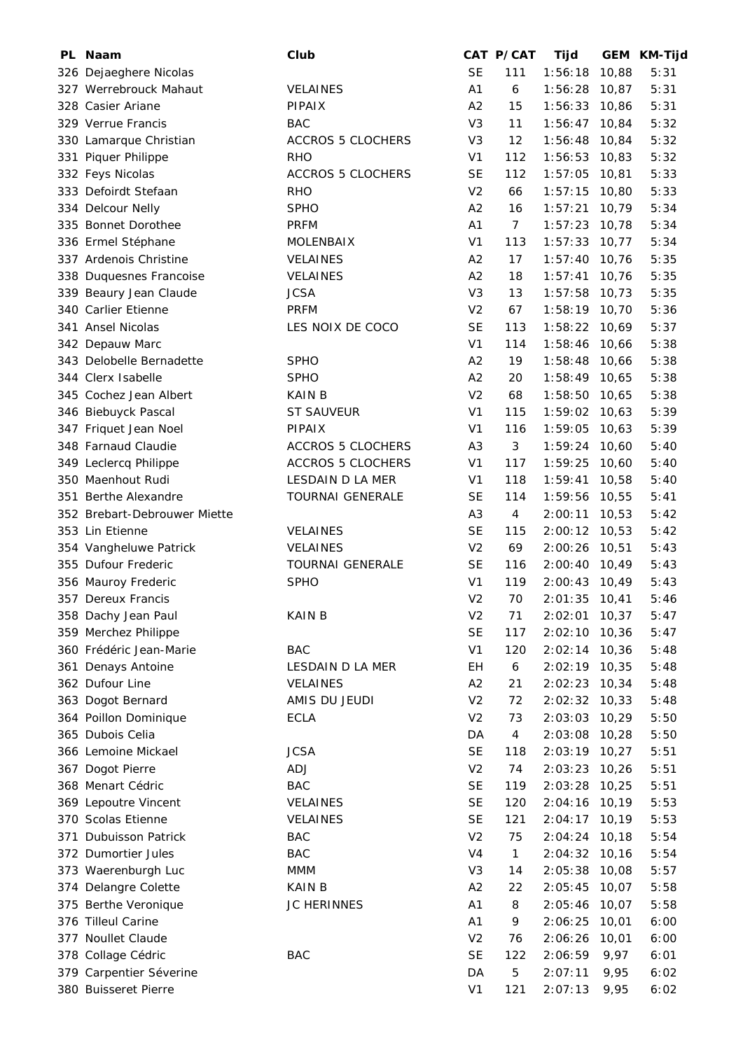| PL. | Naam                                      | Club                     |                             | CAT P/CAT        | Tijd          | GEM            | <b>KM-Tijd</b> |
|-----|-------------------------------------------|--------------------------|-----------------------------|------------------|---------------|----------------|----------------|
|     | 326 Dejaeghere Nicolas                    |                          | <b>SE</b>                   | 111              | 1:56:18       | 10,88          | 5:31           |
|     | 327 Werrebrouck Mahaut                    | VELAINES                 | A1                          | $\boldsymbol{6}$ | 1:56:28       | 10,87          | 5:31           |
|     | 328 Casier Ariane                         | PIPAIX                   | A2                          | 15               | 1:56:33       | 10,86          | 5:31           |
|     | 329 Verrue Francis                        | <b>BAC</b>               | V <sub>3</sub>              | 11               | 1:56:47       | 10,84          | 5:32           |
|     | 330 Lamarque Christian                    | <b>ACCROS 5 CLOCHERS</b> | V <sub>3</sub>              | 12               | 1:56:48       | 10,84          | 5:32           |
|     | 331 Piquer Philippe                       | <b>RHO</b>               | V <sub>1</sub>              | 112              | 1:56:53       | 10,83          | 5:32           |
|     | 332 Feys Nicolas                          | <b>ACCROS 5 CLOCHERS</b> | <b>SE</b>                   | 112              | 1:57:05       | 10,81          | 5:33           |
|     | 333 Defoirdt Stefaan                      | <b>RHO</b>               | V <sub>2</sub>              | 66               | 1:57:15       | 10,80          | 5:33           |
|     | 334 Delcour Nelly                         | <b>SPHO</b>              | A2                          | 16               | 1:57:21       | 10,79          | 5:34           |
|     | 335 Bonnet Dorothee                       | <b>PRFM</b>              | A <sub>1</sub>              | $\overline{7}$   | 1:57:23       | 10,78          | 5:34           |
|     | 336 Ermel Stéphane                        | MOLENBAIX                | V <sub>1</sub>              | 113              | 1:57:33       | 10,77          | 5:34           |
|     | 337 Ardenois Christine                    | <b>VELAINES</b>          | A2                          | 17               | 1:57:40       | 10,76          | 5:35           |
|     | 338 Duquesnes Francoise                   | <b>VELAINES</b>          | A2                          | 18               | 1:57:41       | 10,76          | 5:35           |
|     | 339 Beaury Jean Claude                    | <b>JCSA</b>              | V <sub>3</sub>              | 13               | 1:57:58       | 10,73          | 5:35           |
|     | 340 Carlier Etienne                       | <b>PRFM</b>              | V <sub>2</sub>              | 67               | 1:58:19 10,70 |                | 5:36           |
|     | 341 Ansel Nicolas                         | LES NOIX DE COCO         | <b>SE</b>                   | 113              | 1:58:22       | 10,69          | 5:37           |
|     | 342 Depauw Marc                           |                          | V <sub>1</sub>              | 114              | 1:58:46       | 10,66          | 5:38           |
|     | 343 Delobelle Bernadette                  | <b>SPHO</b>              | A <sub>2</sub>              | 19               | 1:58:48       | 10,66          | 5:38           |
|     | 344 Clerx Isabelle                        | <b>SPHO</b>              | A2                          | 20               | 1:58:49       | 10,65          | 5:38           |
|     | 345 Cochez Jean Albert                    | <b>KAIN B</b>            | V <sub>2</sub>              | 68               | 1:58:50       | 10,65          | 5:38           |
|     | 346 Biebuyck Pascal                       | <b>ST SAUVEUR</b>        | V <sub>1</sub>              | 115              | 1:59:02       | 10,63          | 5:39           |
|     | 347 Friquet Jean Noel                     | PIPAIX                   | V <sub>1</sub>              | 116              | 1:59:05       | 10,63          | 5:39           |
|     | 348 Farnaud Claudie                       | <b>ACCROS 5 CLOCHERS</b> | A <sub>3</sub>              | 3                | 1:59:24       | 10,60          | 5:40           |
|     | 349 Leclercq Philippe                     | <b>ACCROS 5 CLOCHERS</b> | V <sub>1</sub>              | 117              | 1:59:25       | 10,60          | 5:40           |
|     | 350 Maenhout Rudi                         | LESDAIN D LA MER         | V <sub>1</sub>              | 118              | 1:59:41       | 10,58          | 5:40           |
|     | 351 Berthe Alexandre                      | <b>TOURNAI GENERALE</b>  | <b>SE</b>                   | 114              | 1:59:56       | 10,55          | 5:41           |
|     | 352 Brebart-Debrouwer Miette              |                          | A <sub>3</sub>              | 4                | 2:00:11       | 10,53          | 5:42           |
|     | 353 Lin Etienne                           | <b>VELAINES</b>          | <b>SE</b>                   | 115              | 2:00:12       | 10,53          | 5:42           |
|     | 354 Vangheluwe Patrick                    | <b>VELAINES</b>          | V <sub>2</sub>              | 69               | 2:00:26       | 10,51          | 5:43           |
|     | 355 Dufour Frederic                       | <b>TOURNAI GENERALE</b>  | <b>SE</b>                   | 116              | 2:00:40       | 10,49          | 5:43           |
|     | 356 Mauroy Frederic                       | <b>SPHO</b>              | V <sub>1</sub>              | 119              | 2:00:43       | 10,49          | 5:43           |
|     | 357 Dereux Francis                        |                          | V <sub>2</sub>              | 70               | 2:01:35       | 10,41          | 5:46           |
|     | 358 Dachy Jean Paul                       | <b>KAIN B</b>            | V <sub>2</sub>              | 71               | 2:02:01       | 10,37          | 5:47           |
|     | 359 Merchez Philippe                      |                          | <b>SE</b>                   | 117              | 2:02:10       | 10,36          | 5:47           |
|     | 360 Frédéric Jean-Marie                   | <b>BAC</b>               | V <sub>1</sub>              | 120              | 2:02:14       | 10,36          | 5:48           |
|     | 361 Denays Antoine                        | LESDAIN D LA MER         | EН                          | $\boldsymbol{6}$ | 2:02:19 10,35 |                | 5:48           |
|     | 362 Dufour Line                           | VELAINES                 | A2                          | 21               | 2:02:23       | 10,34          | 5:48           |
|     |                                           | AMIS DU JEUDI            | V <sub>2</sub>              | 72               | 2:02:32       |                | 5:48           |
|     | 363 Dogot Bernard                         | <b>ECLA</b>              | V <sub>2</sub>              | 73               | 2:03:03       | 10,33<br>10,29 | 5:50           |
|     | 364 Poillon Dominique<br>365 Dubois Celia |                          | DA                          |                  |               |                |                |
|     |                                           |                          | <b>SE</b>                   | 4                | 2:03:08       | 10,28          | 5:50           |
|     | 366 Lemoine Mickael                       | <b>JCSA</b>              |                             | 118              | 2:03:19       | 10,27          | 5:51           |
|     | 367 Dogot Pierre                          | ADJ                      | V <sub>2</sub><br><b>SE</b> | 74               | 2:03:23       | 10,26          | 5:51           |
|     | 368 Menart Cédric                         | <b>BAC</b>               |                             | 119              | 2:03:28       | 10,25          | 5:51           |
|     | 369 Lepoutre Vincent                      | VELAINES                 | <b>SE</b>                   | 120              | 2:04:16       | 10,19          | 5:53           |
|     | 370 Scolas Etienne                        | VELAINES                 | <b>SE</b>                   | 121              | 2:04:17       | 10,19          | 5:53           |
|     | 371 Dubuisson Patrick                     | <b>BAC</b>               | V <sub>2</sub>              | 75               | 2:04:24       | 10,18          | 5:54           |
|     | 372 Dumortier Jules                       | <b>BAC</b>               | V4                          | $\mathbf{1}$     | 2:04:32       | 10,16          | 5:54           |
|     | 373 Waerenburgh Luc                       | MMM                      | V <sub>3</sub>              | 14               | 2:05:38       | 10,08          | 5:57           |
|     | 374 Delangre Colette                      | KAIN B                   | A2                          | 22               | 2:05:45       | 10,07          | 5:58           |
|     | 375 Berthe Veronique                      | JC HERINNES              | A1                          | 8                | 2:05:46       | 10,07          | 5:58           |
|     | 376 Tilleul Carine                        |                          | A <sub>1</sub>              | 9                | 2:06:25       | 10,01          | 6:00           |
|     | 377 Noullet Claude                        |                          | V <sub>2</sub>              | 76               | 2:06:26       | 10,01          | 6:00           |
|     | 378 Collage Cédric                        | <b>BAC</b>               | <b>SE</b>                   | 122              | 2:06:59       | 9,97           | 6:01           |
|     | 379 Carpentier Séverine                   |                          | DA                          | 5                | 2:07:11       | 9,95           | 6:02           |
|     | 380 Buisseret Pierre                      |                          | V <sub>1</sub>              | 121              | 2:07:13       | 9,95           | 6:02           |